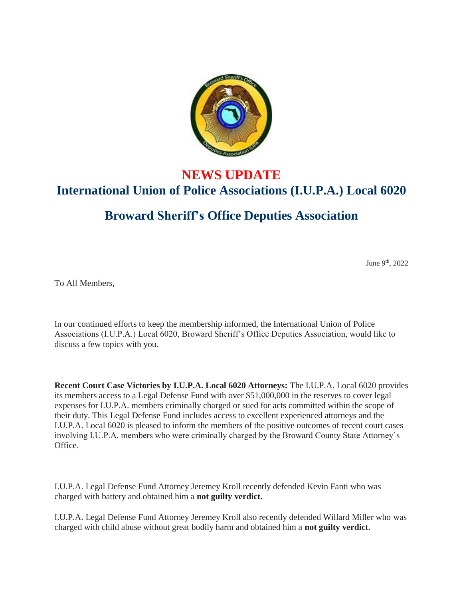

## **NEWS UPDATE International Union of Police Associations (I.U.P.A.) Local 6020**

## **Broward Sheriff's Office Deputies Association**

June 9<sup>th</sup>, 2022

To All Members,

In our continued efforts to keep the membership informed, the International Union of Police Associations (I.U.P.A.) Local 6020, Broward Sheriff's Office Deputies Association, would like to discuss a few topics with you.

**Recent Court Case Victories by I.U.P.A. Local 6020 Attorneys:** The I.U.P.A. Local 6020 provides its members access to a Legal Defense Fund with over \$51,000,000 in the reserves to cover legal expenses for I.U.P.A. members criminally charged or sued for acts committed within the scope of their duty. This Legal Defense Fund includes access to excellent experienced attorneys and the I.U.P.A. Local 6020 is pleased to inform the members of the positive outcomes of recent court cases involving I.U.P.A. members who were criminally charged by the Broward County State Attorney's Office.

I.U.P.A. Legal Defense Fund Attorney Jeremey Kroll recently defended Kevin Fanti who was charged with battery and obtained him a **not guilty verdict.**

I.U.P.A. Legal Defense Fund Attorney Jeremey Kroll also recently defended Willard Miller who was charged with child abuse without great bodily harm and obtained him a **not guilty verdict.**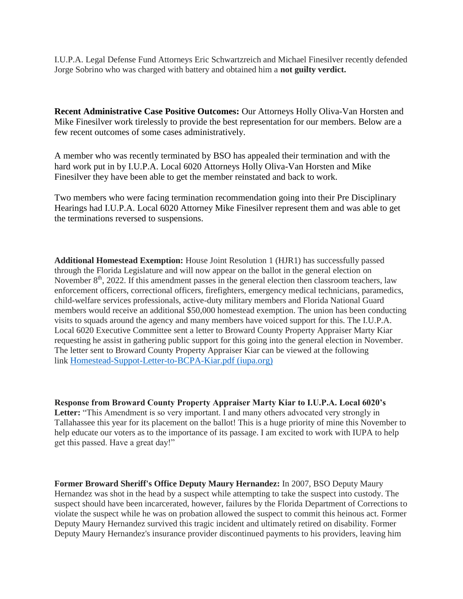I.U.P.A. Legal Defense Fund Attorneys Eric Schwartzreich and Michael Finesilver recently defended Jorge Sobrino who was charged with battery and obtained him a **not guilty verdict.**

**Recent Administrative Case Positive Outcomes:** Our Attorneys Holly Oliva-Van Horsten and Mike Finesilver work tirelessly to provide the best representation for our members. Below are a few recent outcomes of some cases administratively.

A member who was recently terminated by BSO has appealed their termination and with the hard work put in by I.U.P.A. Local 6020 Attorneys Holly Oliva-Van Horsten and Mike Finesilver they have been able to get the member reinstated and back to work.

Two members who were facing termination recommendation going into their Pre Disciplinary Hearings had I.U.P.A. Local 6020 Attorney Mike Finesilver represent them and was able to get the terminations reversed to suspensions.

**Additional Homestead Exemption:** House Joint Resolution 1 (HJR1) has successfully passed through the Florida Legislature and will now appear on the ballot in the general election on November  $8<sup>th</sup>$ , 2022. If this amendment passes in the general election then classroom teachers, law enforcement officers, correctional officers, firefighters, emergency medical technicians, paramedics, child-welfare services professionals, active-duty military members and Florida National Guard members would receive an additional \$50,000 homestead exemption. The union has been conducting visits to squads around the agency and many members have voiced support for this. The I.U.P.A. Local 6020 Executive Committee sent a letter to Broward County Property Appraiser Marty Kiar requesting he assist in gathering public support for this going into the general election in November. The letter sent to Broward County Property Appraiser Kiar can be viewed at the following link [Homestead-Suppot-Letter-to-BCPA-Kiar.pdf \(iupa.org\)](https://6020.iupa.org/wp-content/uploads/2022/05/Homestead-Suppot-Letter-to-BCPA-Kiar.pdf)

**Response from Broward County Property Appraiser Marty Kiar to I.U.P.A. Local 6020's**  Letter: "This Amendment is so very important. I and many others advocated very strongly in Tallahassee this year for its placement on the ballot! This is a huge priority of mine this November to help educate our voters as to the importance of its passage. I am excited to work with IUPA to help get this passed. Have a great day!"

**Former Broward Sheriff's Office Deputy Maury Hernandez:** In 2007, BSO Deputy Maury Hernandez was shot in the head by a suspect while attempting to take the suspect into custody. The suspect should have been incarcerated, however, failures by the Florida Department of Corrections to violate the suspect while he was on probation allowed the suspect to commit this heinous act. Former Deputy Maury Hernandez survived this tragic incident and ultimately retired on disability. Former Deputy Maury Hernandez's insurance provider discontinued payments to his providers, leaving him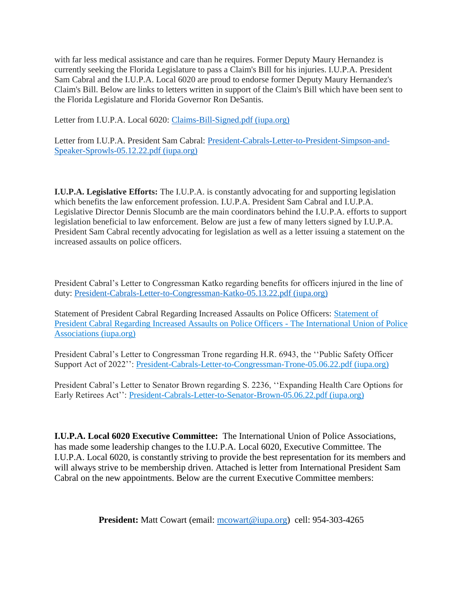with far less medical assistance and care than he requires. Former Deputy Maury Hernandez is currently seeking the Florida Legislature to pass a Claim's Bill for his injuries. I.U.P.A. President Sam Cabral and the I.U.P.A. Local 6020 are proud to endorse former Deputy Maury Hernandez's Claim's Bill. Below are links to letters written in support of the Claim's Bill which have been sent to the Florida Legislature and Florida Governor Ron DeSantis.

Letter from I.U.P.A. Local 6020: [Claims-Bill-Signed.pdf \(iupa.org\)](https://6020.iupa.org/wp-content/uploads/2022/05/Claims-Bill-Signed.pdf)

Letter from I.U.P.A. President Sam Cabral: [President-Cabrals-Letter-to-President-Simpson-and-](https://6020.iupa.org/wp-content/uploads/2022/05/President-Cabrals-Letter-to-President-Simpson-and-Speaker-Sprowls-05.12.22.pdf)[Speaker-Sprowls-05.12.22.pdf \(iupa.org\)](https://6020.iupa.org/wp-content/uploads/2022/05/President-Cabrals-Letter-to-President-Simpson-and-Speaker-Sprowls-05.12.22.pdf)

**I.U.P.A. Legislative Efforts:** The I.U.P.A. is constantly advocating for and supporting legislation which benefits the law enforcement profession. I.U.P.A. President Sam Cabral and I.U.P.A. Legislative Director Dennis Slocumb are the main coordinators behind the I.U.P.A. efforts to support legislation beneficial to law enforcement. Below are just a few of many letters signed by I.U.P.A. President Sam Cabral recently advocating for legislation as well as a letter issuing a statement on the increased assaults on police officers.

President Cabral's Letter to Congressman Katko regarding benefits for officers injured in the line of duty: [President-Cabrals-Letter-to-Congressman-Katko-05.13.22.pdf \(iupa.org\)](https://iupa.org/wp-content/uploads/2022/05/President-Cabrals-Letter-to-Congressman-Katko-05.13.22.pdf)

Statement of President Cabral Regarding Increased Assaults on Police Officers: [Statement of](https://iupa.org/2022/05/03/statement-of-president-cabral-regarding-increased-assaults-on-police-officers/)  [President Cabral Regarding Increased Assaults on Police Officers -](https://iupa.org/2022/05/03/statement-of-president-cabral-regarding-increased-assaults-on-police-officers/) The International Union of Police [Associations \(iupa.org\)](https://iupa.org/2022/05/03/statement-of-president-cabral-regarding-increased-assaults-on-police-officers/)

President Cabral's Letter to Congressman Trone regarding H.R. 6943, the ''Public Safety Officer Support Act of 2022'': [President-Cabrals-Letter-to-Congressman-Trone-05.06.22.pdf \(iupa.org\)](https://iupa.org/wp-content/uploads/2022/05/President-Cabrals-Letter-to-Congressman-Trone-05.06.22.pdf)

President Cabral's Letter to Senator Brown regarding S. 2236, ''Expanding Health Care Options for Early Retirees Act'': [President-Cabrals-Letter-to-Senator-Brown-05.06.22.pdf \(iupa.org\)](https://iupa.org/wp-content/uploads/2022/05/President-Cabrals-Letter-to-Senator-Brown-05.06.22.pdf)

**I.U.P.A. Local 6020 Executive Committee:** The International Union of Police Associations, has made some leadership changes to the I.U.P.A. Local 6020, Executive Committee. The I.U.P.A. Local 6020, is constantly striving to provide the best representation for its members and will always strive to be membership driven. Attached is letter from International President Sam Cabral on the new appointments. Below are the current Executive Committee members:

**President:** Matt Cowart (email: [mcowart@iupa.org\)](mailto:mcowart@iupa.org) cell: 954-303-4265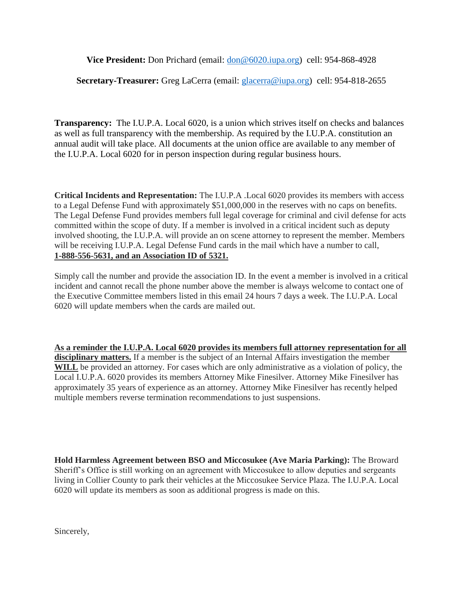**Vice President:** Don Prichard (email: [don@6020.iupa.org\)](mailto:don@6020.iupa.org) cell: 954-868-4928

## **Secretary-Treasurer:** Greg LaCerra (email: [glacerra@iupa.org\)](mailto:glacerra@iupa.org) cell: 954-818-2655

**Transparency:** The I.U.P.A. Local 6020, is a union which strives itself on checks and balances as well as full transparency with the membership. As required by the I.U.P.A. constitution an annual audit will take place. All documents at the union office are available to any member of the I.U.P.A. Local 6020 for in person inspection during regular business hours.

**Critical Incidents and Representation:** The I.U.P.A .Local 6020 provides its members with access to a Legal Defense Fund with approximately \$51,000,000 in the reserves with no caps on benefits. The Legal Defense Fund provides members full legal coverage for criminal and civil defense for acts committed within the scope of duty. If a member is involved in a critical incident such as deputy involved shooting, the I.U.P.A. will provide an on scene attorney to represent the member. Members will be receiving I.U.P.A. Legal Defense Fund cards in the mail which have a number to call, **1-888-556-5631, and an Association ID of 5321.**

Simply call the number and provide the association ID. In the event a member is involved in a critical incident and cannot recall the phone number above the member is always welcome to contact one of the Executive Committee members listed in this email 24 hours 7 days a week. The I.U.P.A. Local 6020 will update members when the cards are mailed out.

**As a reminder the I.U.P.A. Local 6020 provides its members full attorney representation for all disciplinary matters.** If a member is the subject of an Internal Affairs investigation the member **WILL** be provided an attorney. For cases which are only administrative as a violation of policy, the Local I.U.P.A. 6020 provides its members Attorney Mike Finesilver. Attorney Mike Finesilver has approximately 35 years of experience as an attorney. Attorney Mike Finesilver has recently helped multiple members reverse termination recommendations to just suspensions.

**Hold Harmless Agreement between BSO and Miccosukee (Ave Maria Parking):** The Broward Sheriff's Office is still working on an agreement with Miccosukee to allow deputies and sergeants living in Collier County to park their vehicles at the Miccosukee Service Plaza. The I.U.P.A. Local 6020 will update its members as soon as additional progress is made on this.

Sincerely,